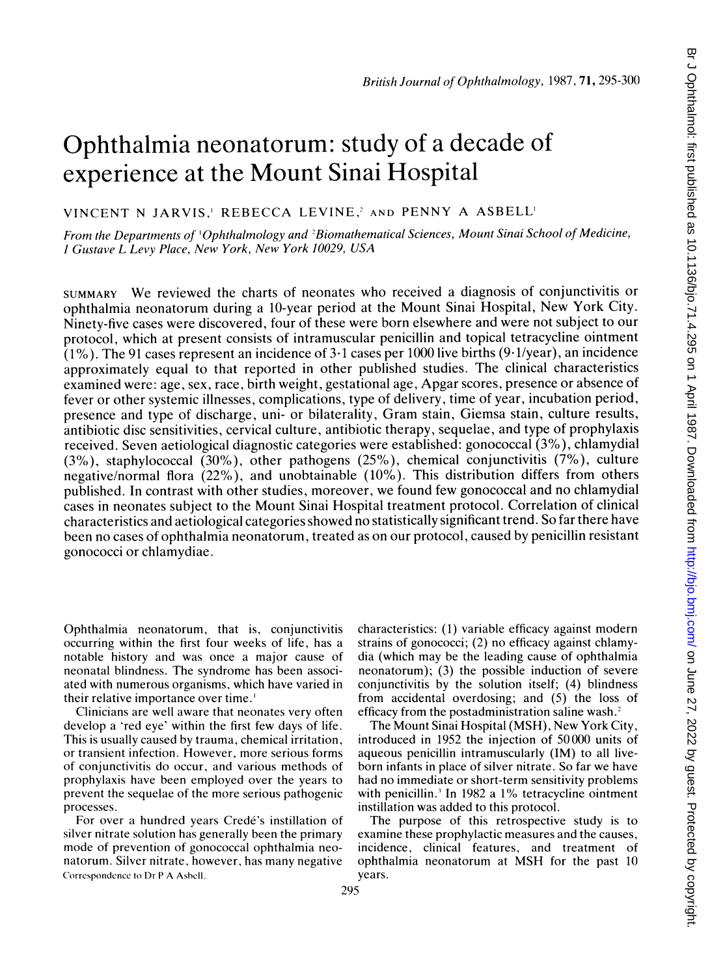# Ophthalmia neonatorum: study of a decade of experience at the Mount Sinai Hospital

VINCENT N JARVIS,' REBECCA LEVINE,' AND PENNY A ASBELL

From the Departments of 'Ophthalmology and <sup>2</sup>Biomathematical Sciences, Mount Sinai School of Medicine, <sup>I</sup> Gustave L Levy Place, New York, New York 10029, USA

SUMMARY We reviewed the charts of neonates who received <sup>a</sup> diagnosis of conjunctivitis or ophthalmia neonatorum during <sup>a</sup> 10-year period at the Mount Sinai Hospital, New York City. Ninety-five cases were discovered, four of these were born elsewhere and were not subject to our protocol, which at present consists of intramuscular penicillin and topical tetracycline ointment (1%). The 91 cases represent an incidence of 3-1 cases per 1000 live births (9.1/year), an incidence approximately equal to that reported in other published studies. The clinical characteristics examined were: age, sex, race, birth weight, gestational age, Apgar scores, presence or absence of fever or other systemic illnesses, complications, type of delivery, time of year, incubation period, presence and type of discharge, uni- or bilaterality, Gram stain, Giemsa stain, culture results, antibiotic disc sensitivities, cervical culture, antibiotic therapy, sequelae, and type of prophylaxis received. Seven aetiological diagnostic categories were established: gonococcal  $(3\%)$ , chlamydial (3%), staphylococcal (30%), other pathogens (25%), chemical conjunctivitis (7%), culture negative/normal flora  $(22%)$ , and unobtainable  $(10%)$ . This distribution differs from others published. In contrast with other studies, moreover, we found few gonococcal and no chlamydial cases in neonates subject to the Mount Sinai Hospital treatment protocol. Correlation of clinical characteristics and aetiological categories showed no statistically significant trend. So far there have been no cases of ophthalmia neonatorum, treated as on our protocol, caused by penicillin resistant gonococci or chlamydiae.

Ophthalmia neonatorum, that is, conjunctivitis occurring within the first four weeks of life, has a notable history and was once a major cause of neonatal blindness. The syndrome has been associated with numerous organisms, which have varied in their relative importance over time.'

Clinicians are well aware that neonates very often develop a 'red eye' within the first few days of life. This is usually caused by trauma, chemical irritation, or transient infection. However, more serious forms of conjunctivitis do occur, and various methods of prophylaxis have been employed over the years to prevent the sequelae of the more serious pathogenic processes.

For over a hundred years Credé's instillation of silver nitrate solution has generally been the primary mode of prevention of gonococcal ophthalmia neonatorum. Silver nitrate, however, has many negative Correspondence to Dr P A AsbcIl.

characteristics: (1) variable efficacy against modern strains of gonococci; (2) no efficacy against chlamydia (which may be the leading cause of ophthalmia neonatorum); (3) the possible induction of severe conjunctivitis by the solution itself; (4) blindness from accidental overdosing; and (5) the loss of efficacy from the postadministration saline wash.2

The Mount Sinai Hospital (MSH), New York City, introduced in 1952 the injection of 50000 units of aqueous penicillin intramuscularly (IM) to all liveborn infants in place of silver nitrate. So far we have had no immediate or short-term sensitivity problems with penicillin.<sup>3</sup> In 1982 a 1% tetracycline ointment instillation was added to this protocol.

The purpose of this retrospective study is to examine these prophylactic measures and the causes, incidence, clinical features, and treatment of ophthalmia neonatorum at MSH for the past <sup>10</sup> years.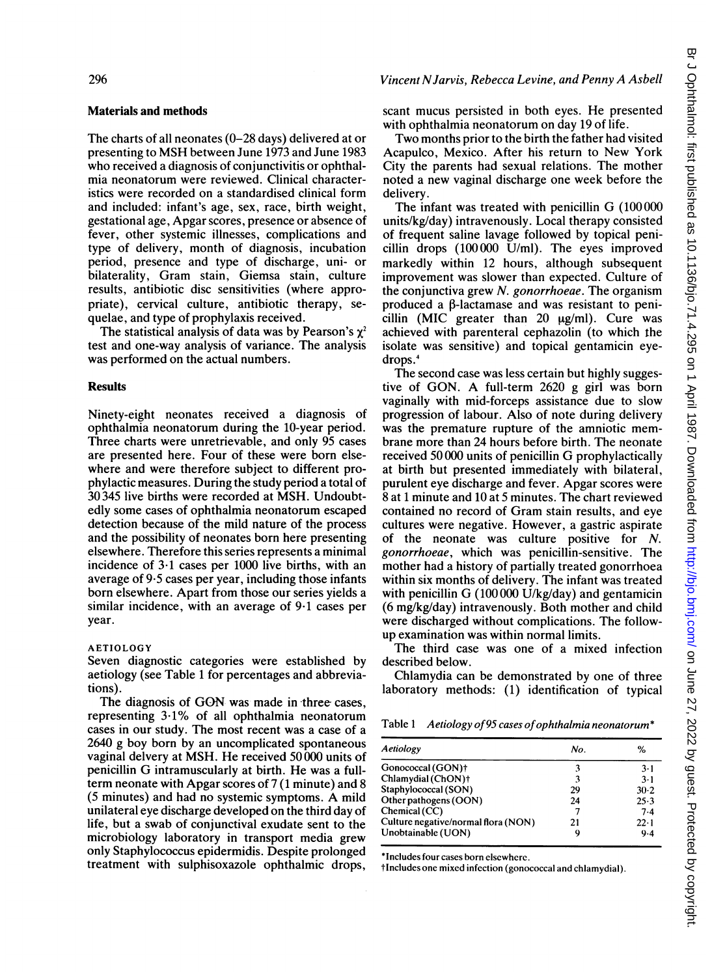#### 296

## Materials and methods

The charts of all neonates (0-28 days) delivered at or presenting to MSH between June <sup>1973</sup> and June <sup>1983</sup> who received a diagnosis of conjunctivitis or ophthalmia neonatorum were reviewed. Clinical characteristics were recorded on a standardised clinical form and included: infant's age, sex, race, birth weight, gestational age, Apgar scores, presence or absence of fever, other systemic illnesses, complications and type of delivery, month of diagnosis, incubation period, presence and type of discharge, uni- or bilaterality, Gram stain, Giemsa stain, culture results, antibiotic disc sensitivities (where appropriate), cervical culture, antibiotic therapy, sequelae, and type of prophylaxis received.

The statistical analysis of data was by Pearson's  $\chi^2$ test and one-way analysis of variance. The analysis was performed on the actual numbers.

### **Results**

Ninety-eight neonates received a diagnosis of ophthalmia neonatorum during the 10-year period. Three charts were unretrievable, and only 95 cases are presented here. Four of these were born elsewhere and were therefore subject to different prophylactic measures. During the study period a total of 30 345 live births were recorded at MSH. Undoubtedly some cases of ophthalmia neonatorum escaped detection because of the mild nature of the process and the possibility of neonates born here presenting elsewhere. Therefore this series represents a minimal incidence of 3-1 cases per 1000 live births, with an average of 9-5 cases per year, including those infants born elsewhere. Apart from those our series yields a similar incidence, with an average of 9-1 cases per year.

### AETIOLOGY

Seven diagnostic categories were established by aetiology (see Table <sup>1</sup> for percentages and abbreviations).

The diagnosis of GON was made in three cases, representing 3.1% of all ophthalmia neonatorum cases in our study. The most recent was a case of a 2640 g boy born by an uncomplicated spontaneous vaginal delvery at MSH. He received 50000 units of penicillin G intramuscularly at birth. He was <sup>a</sup> fullterm neonate with Apgar scores of 7 (1 minute) and 8 (5 minutes) and had no systemic symptoms. A mild unilateral eye discharge developed on the third day of life, but a swab of conjunctival exudate sent to the microbiology laboratory in transport media grew only Staphylococcus epidermidis. Despite prolonged treatment with sulphisoxazole ophthalmic drops,

## Vincent NJarvis, Rebecca Levine, and Penny A Asbell

scant mucus persisted in both eyes. He presented with ophthalmia neonatorum on day 19 of life.

Two months prior to the birth the father had visited Acapulco, Mexico. After his return to New York City the parents had sexual relations. The mother noted a new vaginal discharge one week before the delivery.

The infant was treated with penicillin G (100 <sup>000</sup> units/kg/day) intravenously. Local therapy consisted of frequent saline lavage followed by topical penicillin drops (100 000 U/ml). The eyes improved markedly within 12 hours, although subsequent improvement was slower than expected. Culture of the conjunctiva grew N. gonorrhoeae. The organism produced a  $\beta$ -lactamase and was resistant to penicillin (MIC greater than  $20 \mu g/ml$ ). Cure was achieved with parenteral cephazolin (to which the isolate was sensitive) and topical gentamicin eyedrops.4

The second case was less certain but highly suggestive of GON. A full-term <sup>2620</sup> <sup>g</sup> girl was born vaginally with mid-forceps assistance due to slow progression of labour. Also of note during delivery was the premature rupture of the amniotic membrane more than 24 hours before birth. The neonate received <sup>50</sup> <sup>000</sup> units of penicillin G prophylactically at birth but presented immediately with bilateral, purulent eye discharge and fever. Apgar scores were 8 at <sup>1</sup> minute and 10 at 5 minutes. The chart reviewed contained no record of Gram stain results, and eye cultures were negative. However, a gastric aspirate of the neonate was culture positive for N. gonorrhoeae, which was penicillin-sensitive. The mother had a history of partially treated gonorrhoea within six months of delivery. The infant was treated with penicillin G  $(100000 \text{ U/kg/day})$  and gentamicin (6 mg/kg/day) intravenously. Both mother and child were discharged without complications. The followup examination was within normal limits.

The third case was one of a mixed infection described below.

Chlamydia can be demonstrated by one of three laboratory methods: (1) identification of typical

Table 1 Aetiology of 95 cases of ophthalmia neonatorum\*

| Aetiology                           | No. | %            |
|-------------------------------------|-----|--------------|
| Gonococcal (GON)+                   |     | $3-1$        |
| Chlamydial (ChON)+                  | 3   | $3-1$        |
| Staphylococcal (SON)                | 29  | $30-2$       |
| Other pathogens (OON)               | 24  | 25.3         |
| Chemical (CC)                       |     | 7.4          |
| Culture negative/normal flora (NON) | 21  | $22 \cdot 1$ |
| Unobtainable (UON)                  |     | 9.4          |

\*Includes four cases born elsewhere.

tIncludes one mixed infection (gonococcal and chlamydial).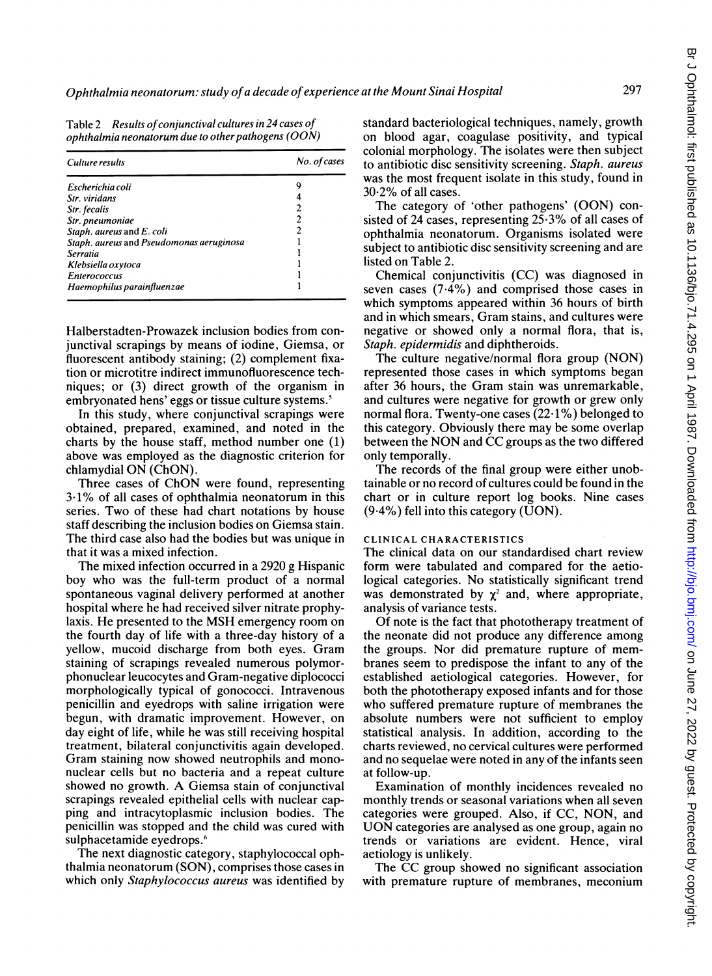| <b>Table 2</b> | Results of conjunctival cultures in 24 cases of        |
|----------------|--------------------------------------------------------|
|                | ophthalmia neonatorum due to other pathogens ( $OON$ ) |

| Culture results                          | No. of cases |
|------------------------------------------|--------------|
| Escherichia coli                         |              |
| Str. viridans                            |              |
| Str. fecalis                             |              |
| Str. pneumoniae                          |              |
| Staph. aureus and E. coli                |              |
| Staph. aureus and Pseudomonas aeruginosa |              |
| Serratia                                 |              |
| Klebsiella oxytoca                       |              |
| <b>Enterococcus</b>                      |              |
| Haemophilus parainfluenzae               |              |

Halberstadten-Prowazek inclusion bodies from conjunctival scrapings by means of iodine, Giemsa, or fluorescent antibody staining; (2) complement fixation or microtitre indirect immunofluorescence techniques; or (3) direct growth of the organism in embryonated hens' eggs or tissue culture systems.'

In this study, where conjunctival scrapings were obtained, prepared, examined, and noted in the charts by the house staff, method number one (1) above was employed as the diagnostic criterion for chlamydial ON (ChON).

Three cases of ChON were found, representing 3-1% of all cases of ophthalmia neonatorum in this series. Two of these had chart notations by house staff describing the inclusion bodies on Giemsa stain. The third case also had the bodies but was unique in that it was a mixed infection.

The mixed infection occurred in a 2920 g Hispanic boy who was the full-term product of a normal spontaneous vaginal delivery performed at another hospital where he had received silver nitrate prophylaxis. He presented to the MSH emergency room on the fourth day of life with a three-day history of a yellow, mucoid discharge from both eyes. Gram staining of scrapings revealed numerous polymorphonuclear leucocytes and Gram-negative diplococci morphologically typical of gonococci. Intravenous penicillin and eyedrops with saline irrigation were begun, with dramatic improvement. However, on day eight of life, while he was still receiving hospital treatment, bilateral conjunctivitis again developed. Gram staining now showed neutrophils and mononuclear cells but no bacteria and a repeat culture showed no growth. A Giemsa stain of conjunctival scrapings revealed epithelial cells with nuclear capping and intracytoplasmic inclusion bodies. The penicillin was stopped and the child was cured with sulphacetamide eyedrops.<sup>6</sup>

The next diagnostic category, staphylococcal ophthalmia neonatorum (SON), comprises those cases in which only Staphylococcus aureus was identified by

standard bacteriological techniques, namely, growth on blood agar, coagulase positivity, and typical colonial morphology. The isolates were then subject to antibiotic disc sensitivity screening. Staph. aureus was the most frequent isolate in this study, found in  $30.2\%$  of all cases.

The category of 'other pathogens' (OON) consisted of 24 cases, representing  $25.3\%$  of all cases of ophthalmia neonatorum. Organisms isolated were subject to antibiotic disc sensitivity screening and are listed on Table 2.

Chemical conjunctivitis (CC) was diagnosed in seven cases (7.4%) and comprised those cases in which symptoms appeared within 36 hours of birth and in which smears, Gram stains, and cultures were negative or showed only a normal flora, that is, Staph. epidermidis and diphtheroids.

The culture negative/normal flora group (NON) represented those cases in which symptoms began after 36 hours, the Gram stain was unremarkable, and cultures were negative for growth or grew only normal flora. Twenty-one cases (22.1%) belonged to this category. Obviously there may be some overlap between the NON and CC groups as the two differed only temporally.

The records of the final group were either unobtainable or no record of cultures could be found in the chart or in culture report log books. Nine cases  $(9.4\%)$  fell into this category (UON).

## CLINICAL CHARACTERISTICS

The clinical data on our standardised chart review form were tabulated and compared for the aetiological categories. No statistically significant trend was demonstrated by  $\chi^2$  and, where appropriate, analysis of variance tests.

Of note is the fact that phototherapy treatment of the neonate did not produce any difference among the groups. Nor did premature rupture of membranes seem to predispose the infant to any of the established aetiological categories. However, for both the phototherapy exposed infants and for those who suffered premature rupture of membranes the absolute numbers were not sufficient to employ statistical analysis. In addition, according to the charts reviewed, no cervical cultures were performed and no sequelae were noted in any of the infants seen at follow-up.

Examination of monthly incidences revealed no monthly trends or seasonal variations when all seven categories were grouped. Also, if CC, NON, and UON categories are analysed as one group, again no trends or variations are evident. Hence, viral aetiology is unlikely.

The CC group showed no significant association with premature rupture of membranes, meconium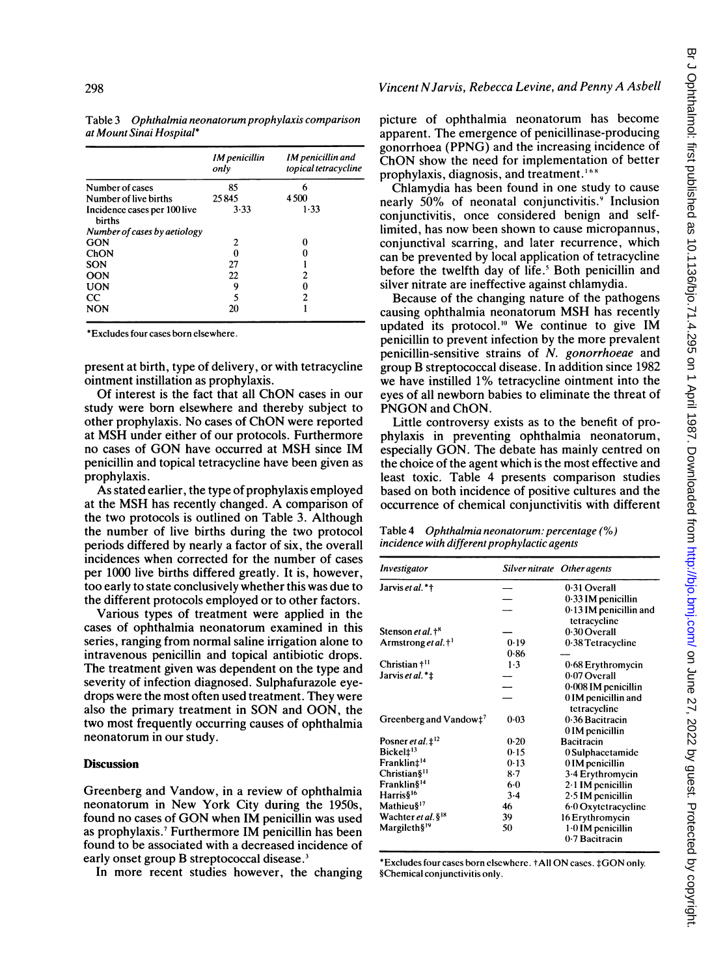|                                               | IM penicillin<br>only | IM penicillin and<br>topical tetracycline |
|-----------------------------------------------|-----------------------|-------------------------------------------|
| Number of cases                               | 85                    | 6                                         |
| Number of live births                         | 25845                 | 4500                                      |
| Incidence cases per 100 live<br><b>births</b> | 3.33                  | $1 - 33$                                  |
| Number of cases by aetiology                  |                       |                                           |
| GON                                           | 2                     | O                                         |
| ChON                                          | 0                     |                                           |
| <b>SON</b>                                    | 27                    |                                           |
| <b>OON</b>                                    | 22                    | 2                                         |
| <b>UON</b>                                    | 9                     |                                           |
| $_{\rm CC}$                                   | 5                     | 2                                         |
| <b>NON</b>                                    | 20                    |                                           |

Table 3 Ophthalmia neonatorum prophylaxis comparison at Mount Sinai Hospital\*

\*Excludes four cases born elsewhere.

present at birth, type of delivery, or with tetracycline ointment instillation as prophylaxis.

Of interest is the fact that all ChON cases in our study were born elsewhere and thereby subject to other prophylaxis. No cases of ChON were reported at MSH under either of our protocols. Furthermore no cases of GON have occurred at MSH since IM penicillin and topical tetracycline have been given as prophylaxis.

As stated earlier, the type of prophylaxis employed at the MSH has recently changed. A comparison of the two protocols is outlined on Table 3. Although the number of live births during the two protocol periods differed by nearly a factor of six, the overall incidences when corrected for the number of cases per 1000 live births differed greatly. It is, however, too early to state conclusively whether this was due to the different protocols employed or to other factors.

Various types of treatment were applied in the cases of ophthalmia neonatorum examined in this series, ranging from normal saline irrigation alone to intravenous penicillin and topical antibiotic drops. The treatment given was dependent on the type and severity of infection diagnosed. Sulphafurazole eyedrops were the most often used treatment. They were also the primary treatment in SON and OON, the two most frequently occurring causes of ophthalmia neonatorum in our study.

# **Discussion**

Greenberg and Vandow, in a review of ophthalmia neonatorum in New York City during the 1950s, found no cases of GON when IM penicillin was used as prophylaxis.7 Furthermore IM penicillin has been found to be associated with a decreased incidence of early onset group B streptococcal disease.<sup>3</sup>

In more recent studies however, the changing

picture of ophthalmia neonatorum has become apparent. The emergence of penicillinase-producing gonorrhoea (PPNG) and the increasing incidence of ChON show the need for implementation of better prophylaxis, diagnosis, and treatment.<sup>168</sup>

Vincent NJarvis, Rebecca Levine, and Penny A Asbell

Chlamydia has been found in one study to cause nearly 50% of neonatal conjunctivitis.<sup>9</sup> Inclusion conjunctivitis, once considered benign and selflimited, has now been shown to cause micropannus, conjunctival scarring, and later recurrence, which can be prevented by local application of tetracycline before the twelfth day of life.' Both penicillin and silver nitrate are ineffective against chlamydia.

Because of the changing nature of the pathogens causing ophthalmia neonatorum MSH has recently updated its protocol.<sup>10</sup> We continue to give IM penicillin to prevent infection by the more prevalent penicillin-sensitive strains of N. gonorrhoeae and group B streptococcal disease. In addition since 1982 we have instilled 1% tetracycline ointment into the eyes of all newborn babies to eliminate the threat of PNGON and ChON.

Little controversy exists as to the benefit of prophylaxis in preventing ophthalmia neonatorum, especially GON. The debate has mainly centred on the choice of the agent which is the most effective and least toxic. Table 4 presents comparison studies based on both incidence of positive cultures and the occurrence of chemical conjunctivitis with different

Table 4 Ophthalmia neonatorum: percentage (%) incidence with different prophylactic agents

| Investigator                                 |       | Silver nitrate Other agents              |
|----------------------------------------------|-------|------------------------------------------|
| Jarvis et al.*†                              |       | 0.31 Overall                             |
|                                              |       | 0.33 IM penicillin                       |
|                                              |       | $0.13$ IM penicillin and<br>tetracycline |
| Stenson et al. <sup>†8</sup>                 |       | 0.30 Overall                             |
| Armstrong et al. <sup>+1</sup>               | 0.19  | 0.38 Tetracycline                        |
|                                              | 0.86  |                                          |
| Christian <sup>+11</sup>                     | 1.3   | 0.68 Erythromycin                        |
| Jarvis et al. *‡                             |       | 0.07 Overall                             |
|                                              |       | 0.008 IM penicillin                      |
|                                              |       | 0 IM penicillin and<br>tetracycline      |
| Greenberg and Vandow $\ddagger$ <sup>7</sup> | 0.03  | 0.36 Bacitracin                          |
|                                              |       | 0 IM penicillin                          |
| Posner et al. $\ddagger^{12}$                | 0.20  | Bacitracin                               |
| Bickel <sup>+13</sup>                        | 0.15  | 0 Sulphacetamide                         |
| Franklin‡ <sup>14</sup>                      | 0.13  | 0 IM penicillin                          |
| Christian§ <sup>11</sup>                     | $8-7$ | 3.4 Erythromycin                         |
| Franklin <sup>§14</sup>                      | $6-0$ | $2-1$ IM penicillin                      |
| Harris§ <sup>16</sup>                        | 3.4   | 2.5 IM penicillin                        |
| Mathieu§ <sup>17</sup>                       | 46    | 6.0 Oxytetracycline                      |
| Wachter et al. § <sup>18</sup>               | 39    | 16 Erythromycin                          |
| Margileth§ <sup>19</sup>                     | 50    | 1.0 IM penicillin<br>0.7 Bacitracin      |

\*Excludes four cases born elsewhere. †All ON cases. ‡GON only. §Chemical conjunctivitis only.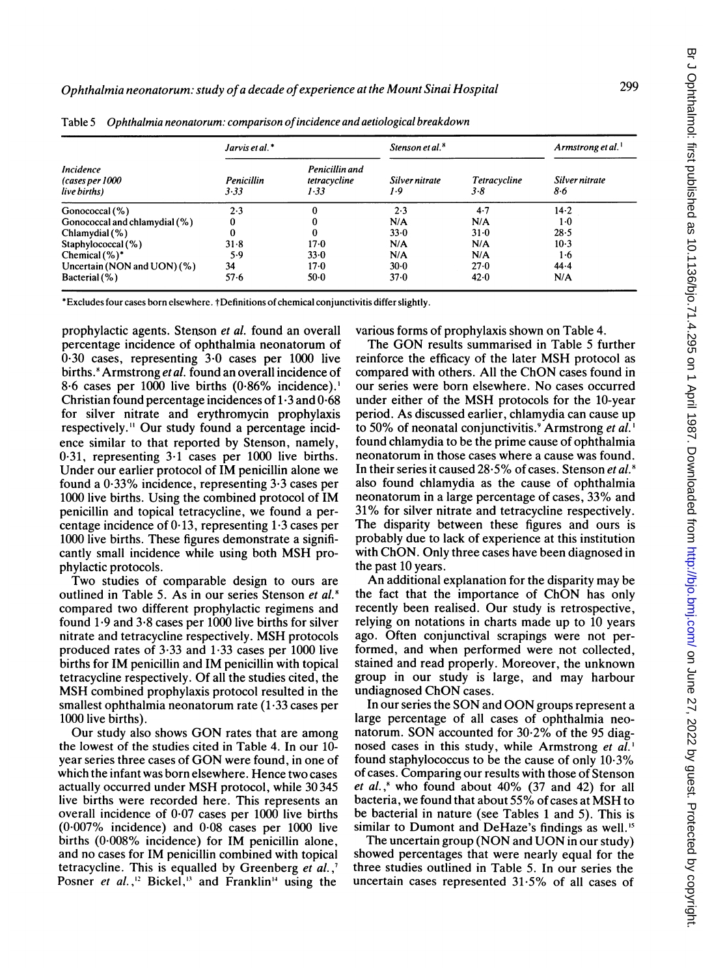| <b>Incidence</b><br>(cases per 1000<br>live births) | Jarvis et al.*     |                                        | Stenson et al. <sup>8</sup> |                         | Armstrong et al.      |
|-----------------------------------------------------|--------------------|----------------------------------------|-----------------------------|-------------------------|-----------------------|
|                                                     | Penicillin<br>3.33 | Penicillin and<br>tetracycline<br>1.33 | Silver nitrate<br>1.9       | Tetracycline<br>$3 - 8$ | Silver nitrate<br>8.6 |
| Gonococcal (%)                                      | 2.3                |                                        | 2.3                         | 4.7                     | $14 - 2$              |
| Gonococcal and chlamydial (%)                       | 0                  |                                        | N/A                         | N/A                     | $1-0$                 |
| Chlamy dial (%)                                     | 0                  |                                        | 33.0                        | $31 - 0$                | 28.5                  |
| Staphylococcal (%)                                  | 31.8               | $17-0$                                 | N/A                         | N/A                     | $10-3$                |
| Chemical $(\%)^*$                                   | 5.9                | 33.0                                   | N/A                         | N/A                     | 1·6                   |
| Uncertain (NON and UON) $(\%)$                      | 34                 | 17.0                                   | $30-0$                      | 27.0                    | 44.4                  |
| Bacterial (%)                                       | $57 - 6$           | $50-0$                                 | 37.0                        | 42.0                    | N/A                   |

Table 5 Ophthalmia neonatorum: comparison ofincidence and aetiological breakdown

\*Excludes four cases born elsewhere. tDefinitions of chemical conjunctivitis differ slightly.

prophylactic agents. Stenson et al. found an overall percentage incidence of ophthalmia neonatorum of  $0.30$  cases, representing  $3.0$  cases per 1000 live births.<sup>8</sup> Armstrong et al. found an overall incidence of 8-6 cases per 1000 live births (0.86% incidence).' Christian found percentage incidences of 1.3 and 0-68 for silver nitrate and erythromycin prophylaxis respectively." Our study found a percentage incidence similar to that reported by Stenson, namely, 0-31, representing 3-1 cases per 1000 live births. Under our earlier protocol of IM penicillin alone we found a 0-33% incidence, representing 3.3 cases per 1000 live births. Using the combined protocol of IM penicillin and topical tetracycline, we found a percentage incidence of  $0.13$ , representing  $1.3$  cases per 1000 live births. These figures demonstrate a significantly small incidence while using both MSH prophylactic protocols.

Two studies of comparable design to ours are outlined in Table 5. As in our series Stenson et al.<sup>8</sup> compared two different prophylactic regimens and found 1-9 and 3\*8 cases per 1000 live births for silver nitrate and tetracycline respectively. MSH protocols produced rates of 3-33 and 1-33 cases per 1000 live births for IM penicillin and IM penicillin with topical tetracycline respectively. Of all the studies cited, the MSH combined prophylaxis protocol resulted in the smallest ophthalmia neonatorum rate (1-33 cases per 1000 live births).

Our study also shows GON rates that are among the lowest of the studies cited in Table 4. In our 10 year series three cases of GON were found, in one of which the infant was born elsewhere. Hence two cases actually occurred under MSH protocol, while <sup>30</sup> <sup>345</sup> live births were recorded here. This represents an overall incidence of  $0.07$  cases per  $1000$  live births (0-007% incidence) and 0-08 cases per 1000 live births (0-008% incidence) for IM penicillin alone, and no cases for IM penicillin combined with topical tetracycline. This is equalled by Greenberg et al.,' Posner et al.,<sup>12</sup> Bickel,<sup>13</sup> and Franklin<sup>14</sup> using the

various forms of prophylaxis shown on Table 4.

The GON results summarised in Table <sup>5</sup> further reinforce the efficacy of the later MSH protocol as compared with others. All the ChON cases found in our series were born elsewhere. No cases occurred under either of the MSH protocols for the 10-year period. As discussed earlier, chlamydia can cause up to 50% of neonatal conjunctivitis.<sup>9</sup> Armstrong et al.<sup>1</sup> found chlamydia to be the prime cause of ophthalmia neonatorum in those cases where a cause was found. In their series it caused  $28.5\%$  of cases. Stenson et al.<sup>8</sup> also found chlamydia as the cause of ophthalmia neonatorum in a large percentage of cases, 33% and 31% for silver nitrate and tetracycline respectively. The disparity between these figures and ours is probably due to lack of experience at this institution with ChON. Only three cases have been diagnosed in the past 10 years.

An additional explanation for the disparity may be the fact that the importance of ChON has only recently been realised. Our study is retrospective, relying on notations in charts made up to 10 years ago. Often conjunctival scrapings were not performed, and when performed were not collected, stained and read properly. Moreover, the unknown group in our study is large, and may harbour undiagnosed ChON cases.

In our series the SON and OON groups represent <sup>a</sup> large percentage of all cases of ophthalmia neonatorum. SON accounted for 30.2% of the <sup>95</sup> diagnosed cases in this study, while Armstrong et  $a\tilde{l}$ . found staphylococcus to be the cause of only 10.3% of cases. Comparing our results with those of Stenson et al.,<sup>8</sup> who found about  $40\%$  (37 and 42) for all bacteria, we found that about 55% of cases at MSH to be bacterial in nature (see Tables <sup>1</sup> and 5). This is similar to Dumont and DeHaze's findings as well."

The uncertain group (NON and UON in our study) showed percentages that were nearly equal for the three studies outlined in Table 5. In our series the uncertain cases represented 31-5% of all cases of